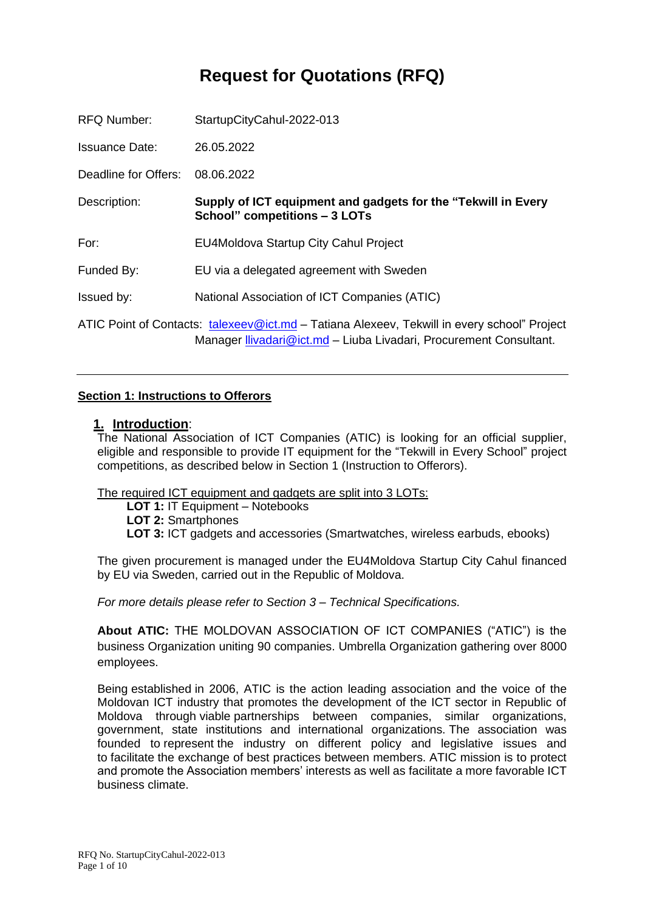# **Request for Quotations (RFQ)**

| <b>RFQ Number:</b>   | StartupCityCahul-2022-013                                                                                                                                         |
|----------------------|-------------------------------------------------------------------------------------------------------------------------------------------------------------------|
| Issuance Date:       | 26.05.2022                                                                                                                                                        |
| Deadline for Offers: | 08.06.2022                                                                                                                                                        |
| Description:         | Supply of ICT equipment and gadgets for the "Tekwill in Every<br><b>School" competitions - 3 LOTs</b>                                                             |
| For:                 | <b>EU4Moldova Startup City Cahul Project</b>                                                                                                                      |
| Funded By:           | EU via a delegated agreement with Sweden                                                                                                                          |
| Issued by:           | National Association of ICT Companies (ATIC)                                                                                                                      |
|                      | ATIC Point of Contacts: talexeev@ict.md – Tatiana Alexeev, Tekwill in every school" Project<br>Manager Ilivadari@ict.md - Liuba Livadari, Procurement Consultant. |

#### **Section 1: Instructions to Offerors**

#### **1. Introduction**:

The National Association of ICT Companies (ATIC) is looking for an official supplier, eligible and responsible to provide IT equipment for the "Tekwill in Every School" project competitions, as described below in Section 1 (Instruction to Offerors).

The required ICT equipment and gadgets are split into 3 LOTs:

**LOT 1:** IT Equipment – Notebooks

**LOT 2:** Smartphones

**LOT 3:** ICT gadgets and accessories (Smartwatches, wireless earbuds, ebooks)

The given procurement is managed under the EU4Moldova Startup City Cahul financed by EU via Sweden, carried out in the Republic of Moldova.

*For more details please refer to Section 3 – Technical Specifications.* 

**About ATIC:** THE MOLDOVAN ASSOCIATION OF ICT COMPANIES ("ATIC") is the business Organization uniting 90 companies. Umbrella Organization gathering over 8000 employees.

Being established in 2006, ATIC is the action leading association and the voice of the Moldovan ICT industry that promotes the development of the ICT sector in Republic of Moldova through viable partnerships between companies, similar organizations, government, state institutions and international organizations. The association was founded to represent the industry on different policy and legislative issues and to facilitate the exchange of best practices between members. ATIC mission is to protect and promote the Association members' interests as well as facilitate a more favorable ICT business climate.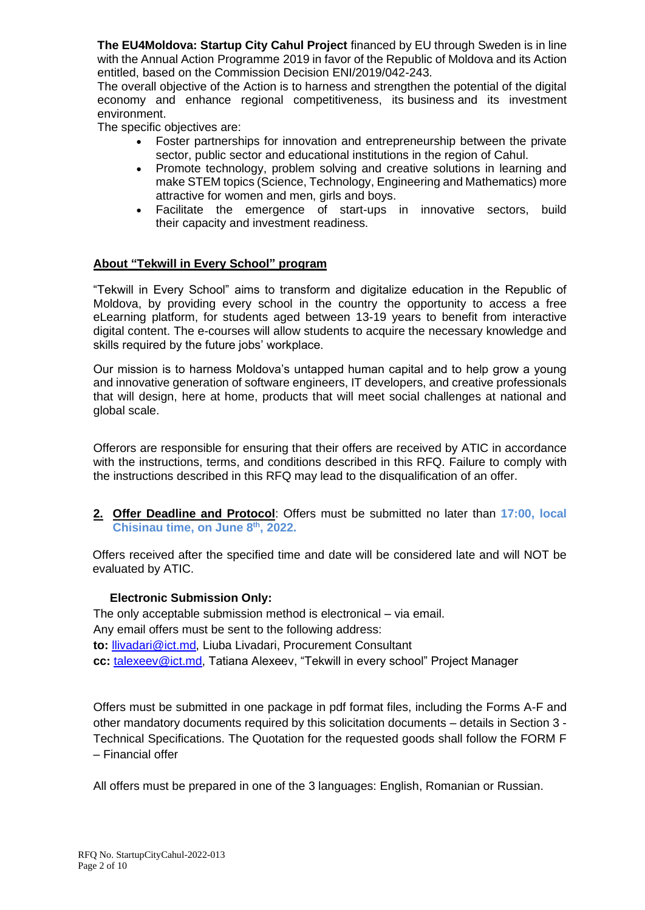**The EU4Moldova: Startup City Cahul Project** financed by EU through Sweden is in line with the Annual Action Programme 2019 in favor of the Republic of Moldova and its Action entitled, based on the Commission Decision ENI/2019/042-243.

The overall objective of the Action is to harness and strengthen the potential of the digital economy and enhance regional competitiveness, its business and its investment environment.

The specific objectives are:

- Foster partnerships for innovation and entrepreneurship between the private sector, public sector and educational institutions in the region of Cahul.
- Promote technology, problem solving and creative solutions in learning and make STEM topics (Science, Technology, Engineering and Mathematics) more attractive for women and men, girls and boys.
- Facilitate the emergence of start-ups in innovative sectors, build their capacity and investment readiness.

## **About "Tekwill in Every School" program**

"Tekwill in Every School" aims to transform and digitalize education in the Republic of Moldova, by providing every school in the country the opportunity to access a free eLearning platform, for students aged between 13-19 years to benefit from interactive digital content. The e-courses will allow students to acquire the necessary knowledge and skills required by the future jobs' workplace.

Our mission is to harness Moldova's untapped human capital and to help grow a young and innovative generation of software engineers, IT developers, and creative professionals that will design, here at home, products that will meet social challenges at national and global scale.

Offerors are responsible for ensuring that their offers are received by ATIC in accordance with the instructions, terms, and conditions described in this RFQ. Failure to comply with the instructions described in this RFQ may lead to the disqualification of an offer.

**2. Offer Deadline and Protocol**: Offers must be submitted no later than **17:00, local Chisinau time, on June 8 th, 2022.**

Offers received after the specified time and date will be considered late and will NOT be evaluated by ATIC.

## **Electronic Submission Only:**

The only acceptable submission method is electronical – via email. Any email offers must be sent to the following address: **to:** [llivadari@ict.md,](mailto:llivadari@ict.md) Liuba Livadari, Procurement Consultant **cc:** [talexeev@ict.md,](mailto:talexeev@ict.md) Tatiana Alexeev, "Tekwill in every school" Project Manager

Offers must be submitted in one package in pdf format files, including the Forms A-F and other mandatory documents required by this solicitation documents – details in Section 3 - Technical Specifications. The Quotation for the requested goods shall follow the FORM F – Financial offer

All offers must be prepared in one of the 3 languages: English, Romanian or Russian.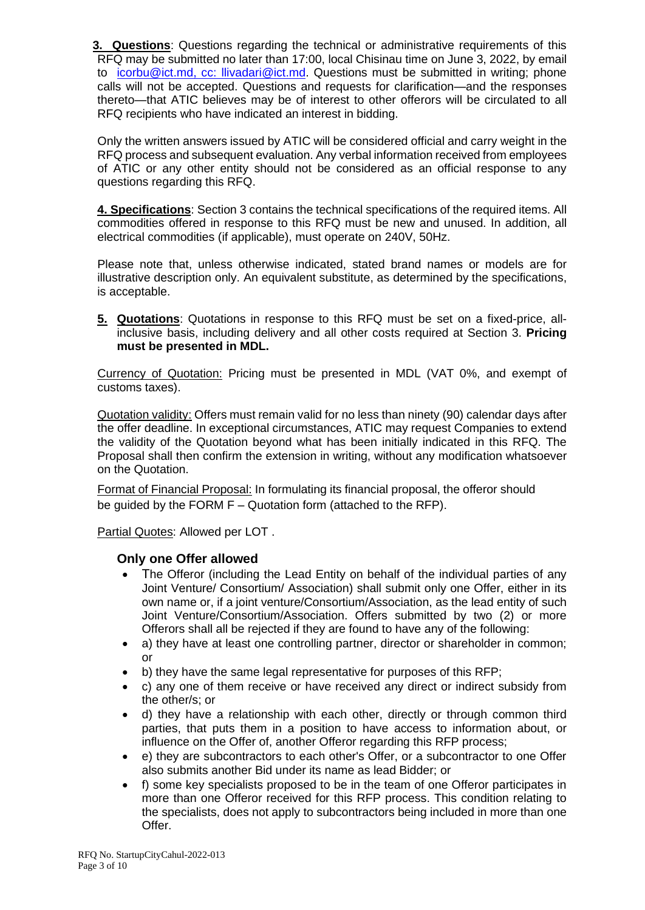**3. Questions**: Questions regarding the technical or administrative requirements of this RFQ may be submitted no later than 17:00, local Chisinau time on June 3, 2022, by email to [icorbu@ict.md,](mailto:icorbu@ict.md) cc: [llivadari@ict.md.](mailto:llivadari@ict.md) Questions must be submitted in writing; phone calls will not be accepted. Questions and requests for clarification—and the responses thereto—that ATIC believes may be of interest to other offerors will be circulated to all RFQ recipients who have indicated an interest in bidding.

Only the written answers issued by ATIC will be considered official and carry weight in the RFQ process and subsequent evaluation. Any verbal information received from employees of ATIC or any other entity should not be considered as an official response to any questions regarding this RFQ.

**4. Specifications**: Section 3 contains the technical specifications of the required items. All commodities offered in response to this RFQ must be new and unused. In addition, all electrical commodities (if applicable), must operate on 240V, 50Hz.

Please note that, unless otherwise indicated, stated brand names or models are for illustrative description only. An equivalent substitute, as determined by the specifications, is acceptable.

**5. Quotations**: Quotations in response to this RFQ must be set on a fixed-price, allinclusive basis, including delivery and all other costs required at Section 3. **Pricing must be presented in MDL.**

Currency of Quotation: Pricing must be presented in MDL (VAT 0%, and exempt of customs taxes).

Quotation validity: Offers must remain valid for no less than ninety (90) calendar days after the offer deadline. In exceptional circumstances, ATIC may request Companies to extend the validity of the Quotation beyond what has been initially indicated in this RFQ. The Proposal shall then confirm the extension in writing, without any modification whatsoever on the Quotation.

Format of Financial Proposal: In formulating its financial proposal, the offeror should be guided by the FORM F – Quotation form (attached to the RFP).

Partial Quotes: Allowed per LOT .

## **Only one Offer allowed**

- The Offeror (including the Lead Entity on behalf of the individual parties of any Joint Venture/ Consortium/ Association) shall submit only one Offer, either in its own name or, if a joint venture/Consortium/Association, as the lead entity of such Joint Venture/Consortium/Association. Offers submitted by two (2) or more Offerors shall all be rejected if they are found to have any of the following:
- a) they have at least one controlling partner, director or shareholder in common; or
- b) they have the same legal representative for purposes of this RFP;
- c) any one of them receive or have received any direct or indirect subsidy from the other/s; or
- d) they have a relationship with each other, directly or through common third parties, that puts them in a position to have access to information about, or influence on the Offer of, another Offeror regarding this RFP process;
- e) they are subcontractors to each other's Offer, or a subcontractor to one Offer also submits another Bid under its name as lead Bidder; or
- f) some key specialists proposed to be in the team of one Offeror participates in more than one Offeror received for this RFP process. This condition relating to the specialists, does not apply to subcontractors being included in more than one Offer.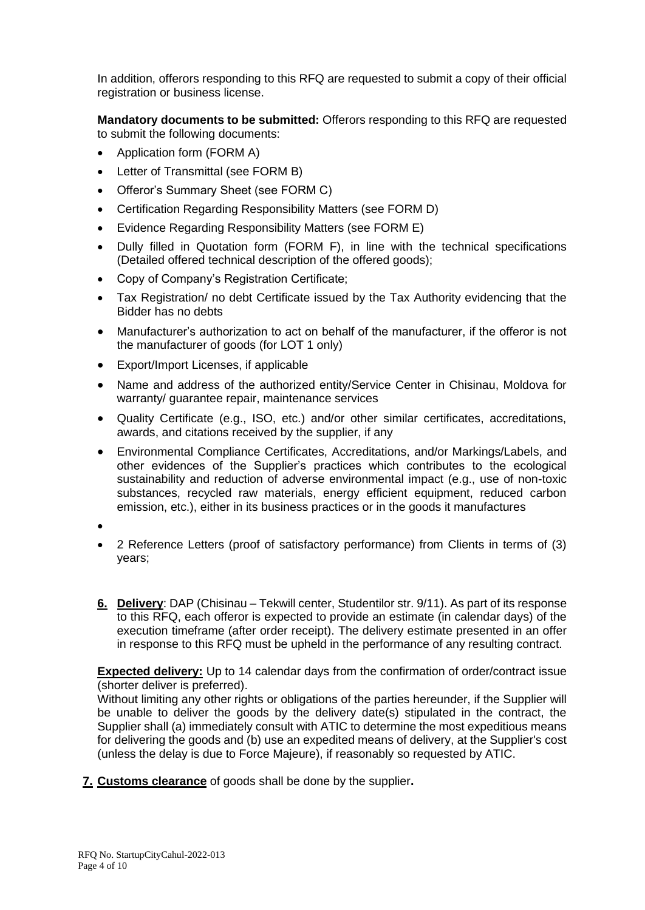In addition, offerors responding to this RFQ are requested to submit a copy of their official registration or business license.

**Mandatory documents to be submitted:** Offerors responding to this RFQ are requested to submit the following documents:

- Application form (FORM A)
- Letter of Transmittal (see FORM B)
- Offeror's Summary Sheet (see FORM C)
- Certification Regarding Responsibility Matters (see FORM D)
- Evidence Regarding Responsibility Matters (see FORM E)
- Dully filled in Quotation form (FORM F), in line with the technical specifications (Detailed offered technical description of the offered goods);
- Copy of Company's Registration Certificate;
- Tax Registration/ no debt Certificate issued by the Tax Authority evidencing that the Bidder has no debts
- Manufacturer's authorization to act on behalf of the manufacturer, if the offeror is not the manufacturer of goods (for LOT 1 only)
- Export/Import Licenses, if applicable
- Name and address of the authorized entity/Service Center in Chisinau, Moldova for warranty/ guarantee repair, maintenance services
- Quality Certificate (e.g., ISO, etc.) and/or other similar certificates, accreditations, awards, and citations received by the supplier, if any
- Environmental Compliance Certificates, Accreditations, and/or Markings/Labels, and other evidences of the Supplier's practices which contributes to the ecological sustainability and reduction of adverse environmental impact (e.g., use of non-toxic substances, recycled raw materials, energy efficient equipment, reduced carbon emission, etc.), either in its business practices or in the goods it manufactures
- •
- 2 Reference Letters (proof of satisfactory performance) from Clients in terms of (3) years;
- **6. Delivery**: DAP (Chisinau Tekwill center, Studentilor str. 9/11). As part of its response to this RFQ, each offeror is expected to provide an estimate (in calendar days) of the execution timeframe (after order receipt). The delivery estimate presented in an offer in response to this RFQ must be upheld in the performance of any resulting contract.

**Expected delivery:** Up to 14 calendar days from the confirmation of order/contract issue (shorter deliver is preferred).

Without limiting any other rights or obligations of the parties hereunder, if the Supplier will be unable to deliver the goods by the delivery date(s) stipulated in the contract, the Supplier shall (a) immediately consult with ATIC to determine the most expeditious means for delivering the goods and (b) use an expedited means of delivery, at the Supplier's cost (unless the delay is due to Force Majeure), if reasonably so requested by ATIC.

**7. Customs clearance** of goods shall be done by the supplier**.**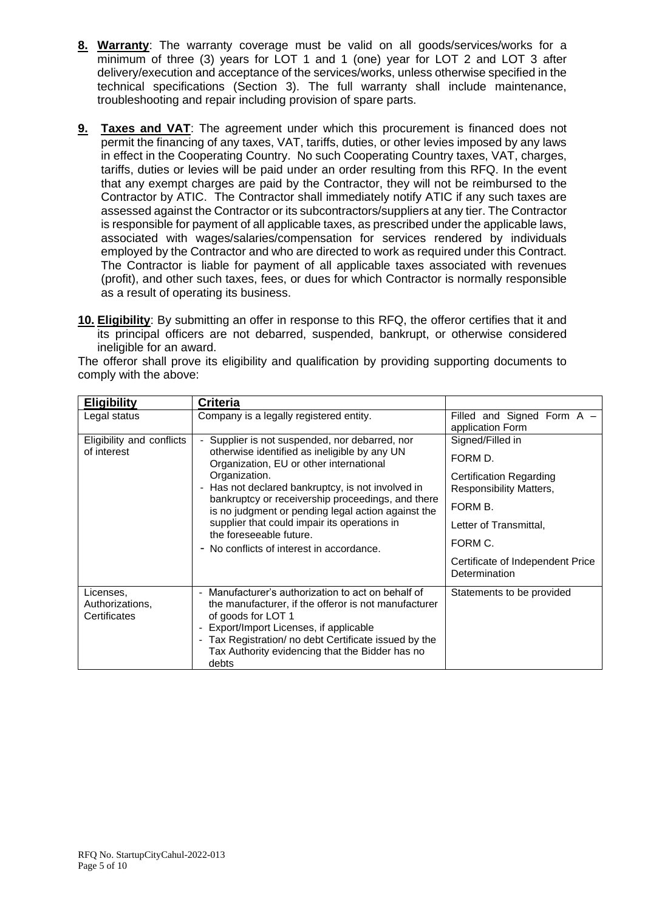- **8. Warranty**: The warranty coverage must be valid on all goods/services/works for a minimum of three (3) years for LOT 1 and 1 (one) year for LOT 2 and LOT 3 after delivery/execution and acceptance of the services/works, unless otherwise specified in the technical specifications (Section 3). The full warranty shall include maintenance, troubleshooting and repair including provision of spare parts.
- **9. Taxes and VAT**: The agreement under which this procurement is financed does not permit the financing of any taxes, VAT, tariffs, duties, or other levies imposed by any laws in effect in the Cooperating Country. No such Cooperating Country taxes, VAT, charges, tariffs, duties or levies will be paid under an order resulting from this RFQ. In the event that any exempt charges are paid by the Contractor, they will not be reimbursed to the Contractor by ATIC. The Contractor shall immediately notify ATIC if any such taxes are assessed against the Contractor or its subcontractors/suppliers at any tier. The Contractor is responsible for payment of all applicable taxes, as prescribed under the applicable laws, associated with wages/salaries/compensation for services rendered by individuals employed by the Contractor and who are directed to work as required under this Contract. The Contractor is liable for payment of all applicable taxes associated with revenues (profit), and other such taxes, fees, or dues for which Contractor is normally responsible as a result of operating its business.
- **10. Eligibility**: By submitting an offer in response to this RFQ, the offeror certifies that it and its principal officers are not debarred, suspended, bankrupt, or otherwise considered ineligible for an award.

|                        |  |  |  |  |  | The offeror shall prove its eligibility and qualification by providing supporting documents to |
|------------------------|--|--|--|--|--|------------------------------------------------------------------------------------------------|
| comply with the above: |  |  |  |  |  |                                                                                                |

| <b>Eligibility</b>                           | <b>Criteria</b>                                                                                                                                                                                                                                                                                                                                      |                                                           |  |
|----------------------------------------------|------------------------------------------------------------------------------------------------------------------------------------------------------------------------------------------------------------------------------------------------------------------------------------------------------------------------------------------------------|-----------------------------------------------------------|--|
| Legal status                                 | Company is a legally registered entity.                                                                                                                                                                                                                                                                                                              | Filled and Signed Form A -<br>application Form            |  |
| Eligibility and conflicts                    | Supplier is not suspended, nor debarred, nor                                                                                                                                                                                                                                                                                                         | Signed/Filled in                                          |  |
| of interest                                  | otherwise identified as ineligible by any UN<br>Organization, EU or other international                                                                                                                                                                                                                                                              | FORM D.                                                   |  |
|                                              | Organization.<br>- Has not declared bankruptcy, is not involved in                                                                                                                                                                                                                                                                                   | <b>Certification Regarding</b><br>Responsibility Matters, |  |
|                                              | bankruptcy or receivership proceedings, and there                                                                                                                                                                                                                                                                                                    | FORM B.<br>Letter of Transmittal,<br>FORM C.              |  |
|                                              | is no judgment or pending legal action against the                                                                                                                                                                                                                                                                                                   |                                                           |  |
|                                              | supplier that could impair its operations in<br>the foreseeable future.                                                                                                                                                                                                                                                                              |                                                           |  |
|                                              | - No conflicts of interest in accordance.                                                                                                                                                                                                                                                                                                            |                                                           |  |
|                                              |                                                                                                                                                                                                                                                                                                                                                      | Certificate of Independent Price<br>Determination         |  |
| Licenses.<br>Authorizations,<br>Certificates | Manufacturer's authorization to act on behalf of<br>$\overline{\phantom{0}}$<br>the manufacturer, if the offeror is not manufacturer<br>of goods for LOT 1<br>Export/Import Licenses, if applicable<br>$\overline{\phantom{0}}$<br>- Tax Registration/ no debt Certificate issued by the<br>Tax Authority evidencing that the Bidder has no<br>debts | Statements to be provided                                 |  |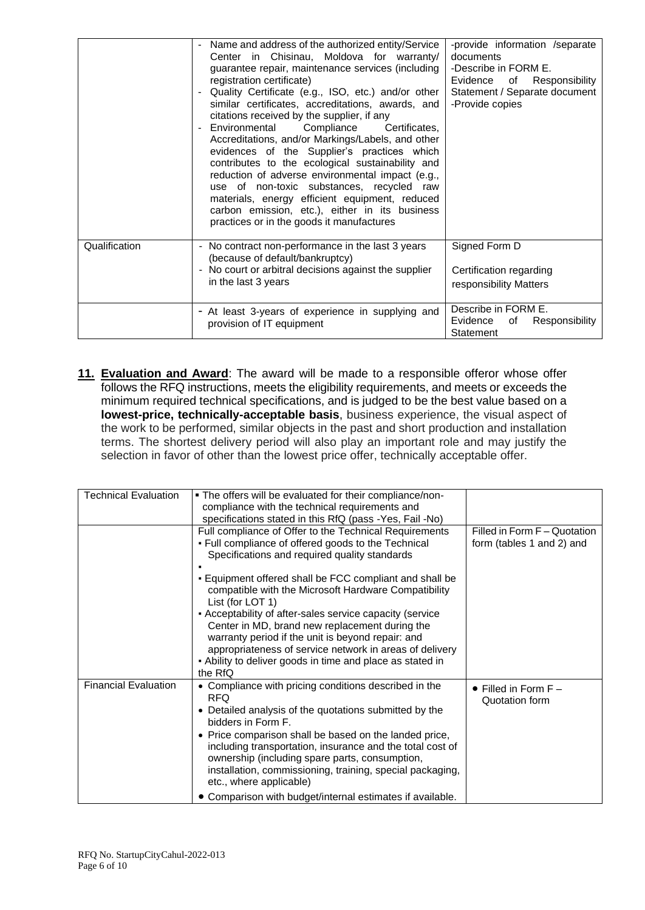|               | Name and address of the authorized entity/Service<br>$\overline{\phantom{a}}$<br>Center in Chisinau, Moldova for warranty/<br>guarantee repair, maintenance services (including<br>registration certificate)<br>Quality Certificate (e.g., ISO, etc.) and/or other<br>$\overline{\phantom{a}}$<br>similar certificates, accreditations, awards, and<br>citations received by the supplier, if any<br>Environmental<br>Compliance<br>Certificates.<br>$\overline{\phantom{a}}$<br>Accreditations, and/or Markings/Labels, and other<br>evidences of the Supplier's practices which<br>contributes to the ecological sustainability and<br>reduction of adverse environmental impact (e.g.,<br>use of non-toxic substances, recycled raw<br>materials, energy efficient equipment, reduced<br>carbon emission, etc.), either in its business<br>practices or in the goods it manufactures | -provide information /separate<br>documents<br>-Describe in FORM E.<br>Evidence<br>of Responsibility<br>Statement / Separate document<br>-Provide copies |
|---------------|-----------------------------------------------------------------------------------------------------------------------------------------------------------------------------------------------------------------------------------------------------------------------------------------------------------------------------------------------------------------------------------------------------------------------------------------------------------------------------------------------------------------------------------------------------------------------------------------------------------------------------------------------------------------------------------------------------------------------------------------------------------------------------------------------------------------------------------------------------------------------------------------|----------------------------------------------------------------------------------------------------------------------------------------------------------|
| Qualification | - No contract non-performance in the last 3 years<br>(because of default/bankruptcy)<br>- No court or arbitral decisions against the supplier<br>in the last 3 years                                                                                                                                                                                                                                                                                                                                                                                                                                                                                                                                                                                                                                                                                                                    | Signed Form D<br>Certification regarding<br>responsibility Matters                                                                                       |
|               | - At least 3-years of experience in supplying and<br>provision of IT equipment                                                                                                                                                                                                                                                                                                                                                                                                                                                                                                                                                                                                                                                                                                                                                                                                          | Describe in FORM E.<br>Evidence<br>Responsibility<br>of<br>Statement                                                                                     |

**11. Evaluation and Award**: The award will be made to a responsible offeror whose offer follows the RFQ instructions, meets the eligibility requirements, and meets or exceeds the minimum required technical specifications, and is judged to be the best value based on a **lowest-price, technically-acceptable basis**, business experience, the visual aspect of the work to be performed, similar objects in the past and short production and installation terms. The shortest delivery period will also play an important role and may justify the selection in favor of other than the lowest price offer, technically acceptable offer.

| <b>Technical Evaluation</b> | . The offers will be evaluated for their compliance/non-<br>compliance with the technical requirements and<br>specifications stated in this RfQ (pass -Yes, Fail -No)                                                                                                                                                                                                                                                   |                                                           |
|-----------------------------|-------------------------------------------------------------------------------------------------------------------------------------------------------------------------------------------------------------------------------------------------------------------------------------------------------------------------------------------------------------------------------------------------------------------------|-----------------------------------------------------------|
|                             | Full compliance of Offer to the Technical Requirements<br>. Full compliance of offered goods to the Technical<br>Specifications and required quality standards                                                                                                                                                                                                                                                          | Filled in Form F - Quotation<br>form (tables 1 and 2) and |
|                             | . Equipment offered shall be FCC compliant and shall be<br>compatible with the Microsoft Hardware Compatibility<br>List (for LOT 1)                                                                                                                                                                                                                                                                                     |                                                           |
|                             | - Acceptability of after-sales service capacity (service<br>Center in MD, brand new replacement during the<br>warranty period if the unit is beyond repair: and<br>appropriateness of service network in areas of delivery<br>- Ability to deliver goods in time and place as stated in<br>the RfQ                                                                                                                      |                                                           |
| <b>Financial Evaluation</b> | • Compliance with pricing conditions described in the<br><b>RFQ</b><br>Detailed analysis of the quotations submitted by the<br>٠<br>bidders in Form F.<br>• Price comparison shall be based on the landed price,<br>including transportation, insurance and the total cost of<br>ownership (including spare parts, consumption,<br>installation, commissioning, training, special packaging,<br>etc., where applicable) | $\bullet$ Filled in Form F $-$<br>Quotation form          |
|                             | • Comparison with budget/internal estimates if available.                                                                                                                                                                                                                                                                                                                                                               |                                                           |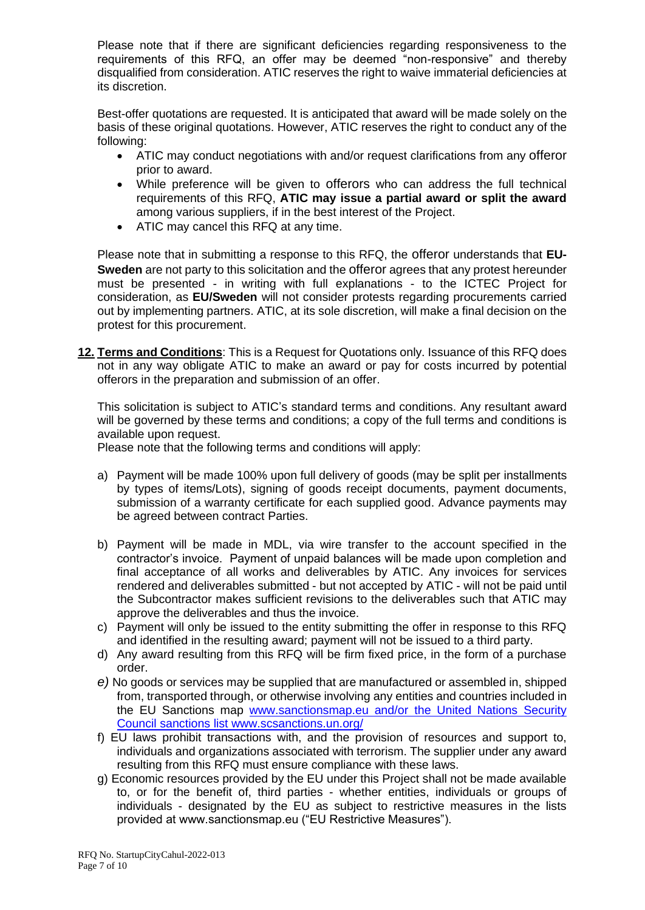Please note that if there are significant deficiencies regarding responsiveness to the requirements of this RFQ, an offer may be deemed "non-responsive" and thereby disqualified from consideration. ATIC reserves the right to waive immaterial deficiencies at its discretion.

Best-offer quotations are requested. It is anticipated that award will be made solely on the basis of these original quotations. However, ATIC reserves the right to conduct any of the following:

- ATIC may conduct negotiations with and/or request clarifications from any offeror prior to award.
- While preference will be given to offerors who can address the full technical requirements of this RFQ, **ATIC may issue a partial award or split the award** among various suppliers, if in the best interest of the Project.
- ATIC may cancel this RFQ at any time.

Please note that in submitting a response to this RFQ, the offeror understands that **EU-Sweden** are not party to this solicitation and the offeror agrees that any protest hereunder must be presented - in writing with full explanations - to the ICTEC Project for consideration, as **EU/Sweden** will not consider protests regarding procurements carried out by implementing partners. ATIC, at its sole discretion, will make a final decision on the protest for this procurement.

**12. Terms and Conditions**: This is a Request for Quotations only. Issuance of this RFQ does not in any way obligate ATIC to make an award or pay for costs incurred by potential offerors in the preparation and submission of an offer.

This solicitation is subject to ATIC's standard terms and conditions. Any resultant award will be governed by these terms and conditions; a copy of the full terms and conditions is available upon request.

Please note that the following terms and conditions will apply:

- a) Payment will be made 100% upon full delivery of goods (may be split per installments by types of items/Lots), signing of goods receipt documents, payment documents, submission of a warranty certificate for each supplied good. Advance payments may be agreed between contract Parties.
- b) Payment will be made in MDL, via wire transfer to the account specified in the contractor's invoice. Payment of unpaid balances will be made upon completion and final acceptance of all works and deliverables by ATIC. Any invoices for services rendered and deliverables submitted - but not accepted by ATIC - will not be paid until the Subcontractor makes sufficient revisions to the deliverables such that ATIC may approve the deliverables and thus the invoice.
- c) Payment will only be issued to the entity submitting the offer in response to this RFQ and identified in the resulting award; payment will not be issued to a third party.
- d) Any award resulting from this RFQ will be firm fixed price, in the form of a purchase order.
- *e)* No goods or services may be supplied that are manufactured or assembled in, shipped from, transported through, or otherwise involving any entities and countries included in the EU Sanctions map www.sanctionsmap.eu and/or the United Nations Security Council sanctions list www.scsanctions.un.org/
- f) EU laws prohibit transactions with, and the provision of resources and support to, individuals and organizations associated with terrorism. The supplier under any award resulting from this RFQ must ensure compliance with these laws.
- g) Economic resources provided by the EU under this Project shall not be made available to, or for the benefit of, third parties - whether entities, individuals or groups of individuals - designated by the EU as subject to restrictive measures in the lists provided at www.sanctionsmap.eu ("EU Restrictive Measures").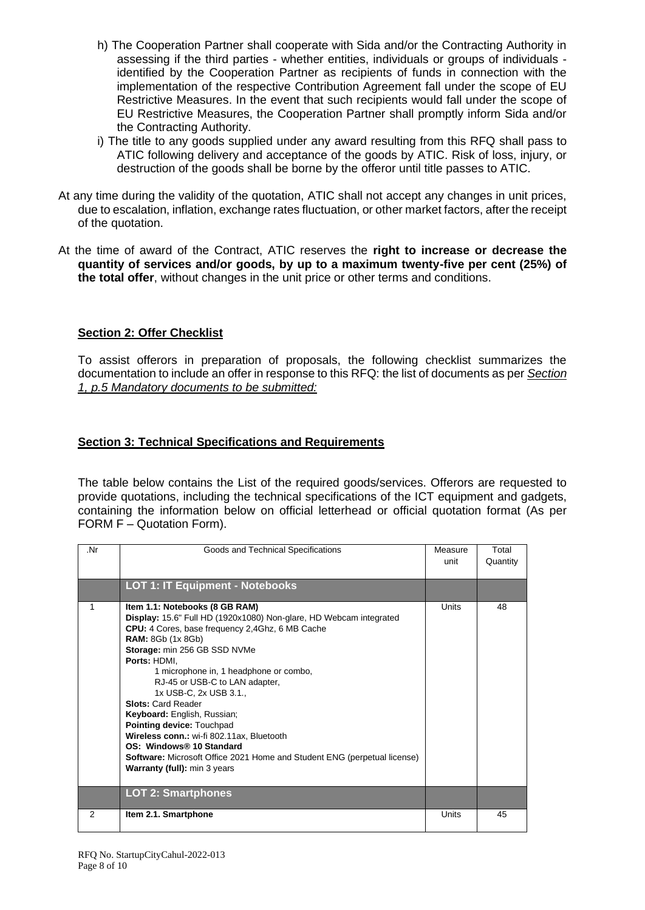- h) The Cooperation Partner shall cooperate with Sida and/or the Contracting Authority in assessing if the third parties - whether entities, individuals or groups of individuals identified by the Cooperation Partner as recipients of funds in connection with the implementation of the respective Contribution Agreement fall under the scope of EU Restrictive Measures. In the event that such recipients would fall under the scope of EU Restrictive Measures, the Cooperation Partner shall promptly inform Sida and/or the Contracting Authority.
- i) The title to any goods supplied under any award resulting from this RFQ shall pass to ATIC following delivery and acceptance of the goods by ATIC. Risk of loss, injury, or destruction of the goods shall be borne by the offeror until title passes to ATIC.
- At any time during the validity of the quotation, ATIC shall not accept any changes in unit prices, due to escalation, inflation, exchange rates fluctuation, or other market factors, after the receipt of the quotation.
- At the time of award of the Contract, ATIC reserves the **right to increase or decrease the quantity of services and/or goods, by up to a maximum twenty-five per cent (25%) of the total offer**, without changes in the unit price or other terms and conditions.

#### **Section 2: Offer Checklist**

To assist offerors in preparation of proposals, the following checklist summarizes the documentation to include an offer in response to this RFQ: the list of documents as per *Section 1, p.5 Mandatory documents to be submitted:*

#### **Section 3: Technical Specifications and Requirements**

The table below contains the List of the required goods/services. Offerors are requested to provide quotations, including the technical specifications of the ICT equipment and gadgets, containing the information below on official letterhead or official quotation format (As per FORM F – Quotation Form).

| .Nr           | Goods and Technical Specifications                                                                                                                                                                                                                                                                                                                                                                                                                                                                                                                                                                                                                          | Measure<br>unit | Total<br>Quantity |
|---------------|-------------------------------------------------------------------------------------------------------------------------------------------------------------------------------------------------------------------------------------------------------------------------------------------------------------------------------------------------------------------------------------------------------------------------------------------------------------------------------------------------------------------------------------------------------------------------------------------------------------------------------------------------------------|-----------------|-------------------|
|               | <b>LOT 1: IT Equipment - Notebooks</b>                                                                                                                                                                                                                                                                                                                                                                                                                                                                                                                                                                                                                      |                 |                   |
| 1             | Item 1.1: Notebooks (8 GB RAM)<br>Display: 15.6" Full HD (1920x1080) Non-glare, HD Webcam integrated<br>CPU: 4 Cores, base frequency 2,4Ghz, 6 MB Cache<br><b>RAM:</b> 8Gb (1x 8Gb)<br>Storage: min 256 GB SSD NVMe<br>Ports: HDMI.<br>1 microphone in, 1 headphone or combo,<br>RJ-45 or USB-C to LAN adapter,<br>1x USB-C, 2x USB 3.1.,<br><b>Slots: Card Reader</b><br>Keyboard: English, Russian;<br>Pointing device: Touchpad<br>Wireless conn.: wi-fi 802.11ax, Bluetooth<br>OS: Windows® 10 Standard<br><b>Software:</b> Microsoft Office 2021 Home and Student ENG (perpetual license)<br>Warranty (full): min 3 years<br><b>LOT 2: Smartphones</b> | Units           | 48                |
| $\mathcal{P}$ | Item 2.1. Smartphone                                                                                                                                                                                                                                                                                                                                                                                                                                                                                                                                                                                                                                        | Units           | 45                |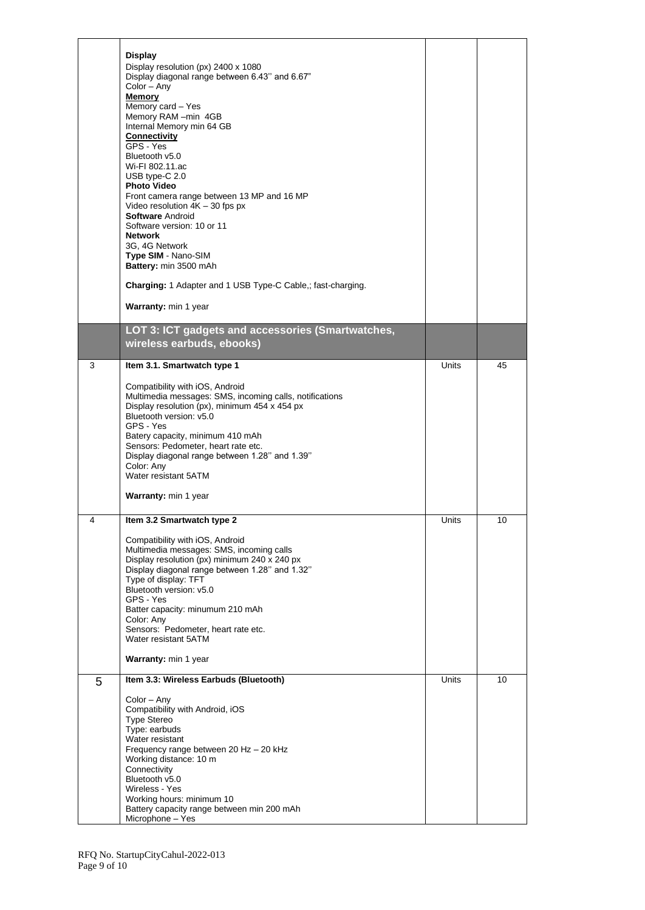|   | <b>Display</b><br>Display resolution (px) 2400 x 1080<br>Display diagonal range between 6.43" and 6.67"<br>Color – Any<br><b>Memory</b><br>Memory card - Yes<br>Memory RAM -min 4GB<br>Internal Memory min 64 GB<br><b>Connectivity</b><br>GPS - Yes<br>Bluetooth v5.0<br>Wi-FI 802.11.ac<br>USB type-C 2.0<br><b>Photo Video</b><br>Front camera range between 13 MP and 16 MP<br>Video resolution $4K - 30$ fps px<br><b>Software Android</b><br>Software version: 10 or 11<br><b>Network</b><br>3G, 4G Network<br>Type SIM - Nano-SIM<br>Battery: min 3500 mAh<br>Charging: 1 Adapter and 1 USB Type-C Cable,; fast-charging.<br>Warranty: min 1 year |              |    |
|---|----------------------------------------------------------------------------------------------------------------------------------------------------------------------------------------------------------------------------------------------------------------------------------------------------------------------------------------------------------------------------------------------------------------------------------------------------------------------------------------------------------------------------------------------------------------------------------------------------------------------------------------------------------|--------------|----|
|   | LOT 3: ICT gadgets and accessories (Smartwatches,<br>wireless earbuds, ebooks)                                                                                                                                                                                                                                                                                                                                                                                                                                                                                                                                                                           |              |    |
| 3 | Item 3.1. Smartwatch type 1<br>Compatibility with iOS, Android<br>Multimedia messages: SMS, incoming calls, notifications<br>Display resolution (px), minimum 454 x 454 px<br>Bluetooth version: v5.0<br>GPS - Yes<br>Batery capacity, minimum 410 mAh<br>Sensors: Pedometer, heart rate etc.<br>Display diagonal range between 1.28" and 1.39"<br>Color: Any<br>Water resistant 5ATM<br>Warranty: min 1 year                                                                                                                                                                                                                                            | <b>Units</b> | 45 |
| 4 | Item 3.2 Smartwatch type 2<br>Compatibility with iOS, Android<br>Multimedia messages: SMS, incoming calls<br>Display resolution (px) minimum 240 x 240 px<br>Display diagonal range between 1.28" and 1.32"<br>Type of display: TFT<br>Bluetooth version: v5.0<br>GPS - Yes<br>Batter capacity: minumum 210 mAh<br>Color: Any<br>Sensors: Pedometer, heart rate etc.<br>Water resistant 5ATM<br>Warranty: min 1 year                                                                                                                                                                                                                                     | Units        | 10 |
| 5 | Item 3.3: Wireless Earbuds (Bluetooth)<br>Color - Any<br>Compatibility with Android, iOS<br><b>Type Stereo</b><br>Type: earbuds<br>Water resistant<br>Frequency range between 20 Hz - 20 kHz<br>Working distance: 10 m<br>Connectivity<br>Bluetooth v5.0<br>Wireless - Yes<br>Working hours: minimum 10<br>Battery capacity range between min 200 mAh<br>Microphone - Yes                                                                                                                                                                                                                                                                                | Units        | 10 |